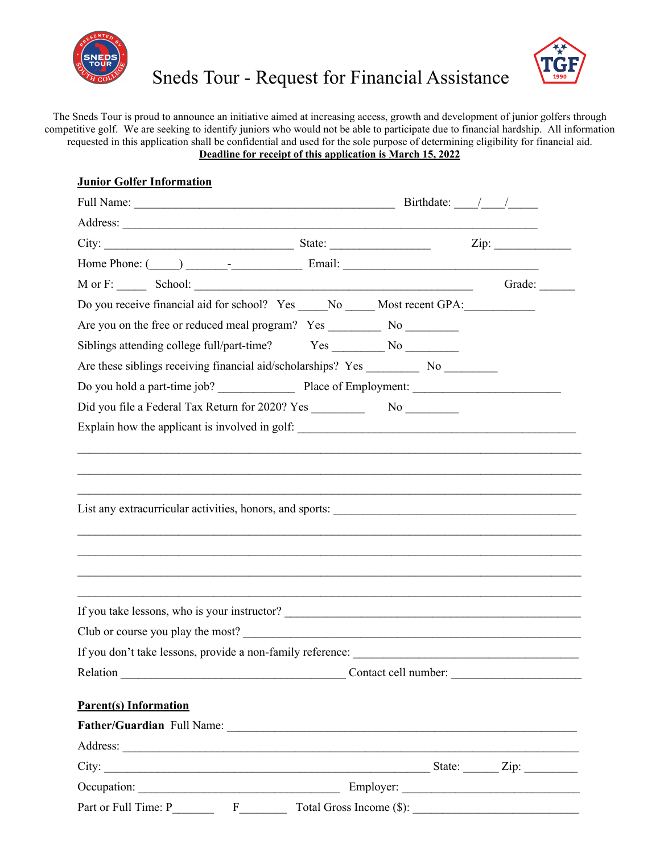



## Sneds Tour - Request for Financial Assistance

The Sneds Tour is proud to announce an initiative aimed at increasing access, growth and development of junior golfers through competitive golf. We are seeking to identify juniors who would not be able to participate due to financial hardship. All information requested in this application shall be confidential and used for the sole purpose of determining eligibility for financial aid. **Deadline for receipt of this application is March 15, 2022**

| <b>Junior Golfer Information</b>                                                        |        |
|-----------------------------------------------------------------------------------------|--------|
|                                                                                         |        |
|                                                                                         |        |
|                                                                                         |        |
|                                                                                         |        |
|                                                                                         | Grade: |
| Do you receive financial aid for school? Yes _____No _____Most recent GPA: ____________ |        |
|                                                                                         |        |
|                                                                                         |        |
|                                                                                         |        |
|                                                                                         |        |
|                                                                                         |        |
|                                                                                         |        |
|                                                                                         |        |
|                                                                                         |        |
| Club or course you play the most?                                                       |        |
|                                                                                         |        |
|                                                                                         |        |
|                                                                                         |        |
| <b>Parent(s)</b> Information                                                            |        |
|                                                                                         |        |
|                                                                                         |        |
|                                                                                         |        |
|                                                                                         |        |
|                                                                                         |        |